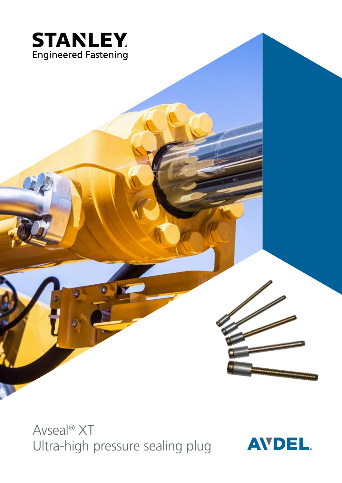

Avseal® XT Ultra-high pressure sealing plug